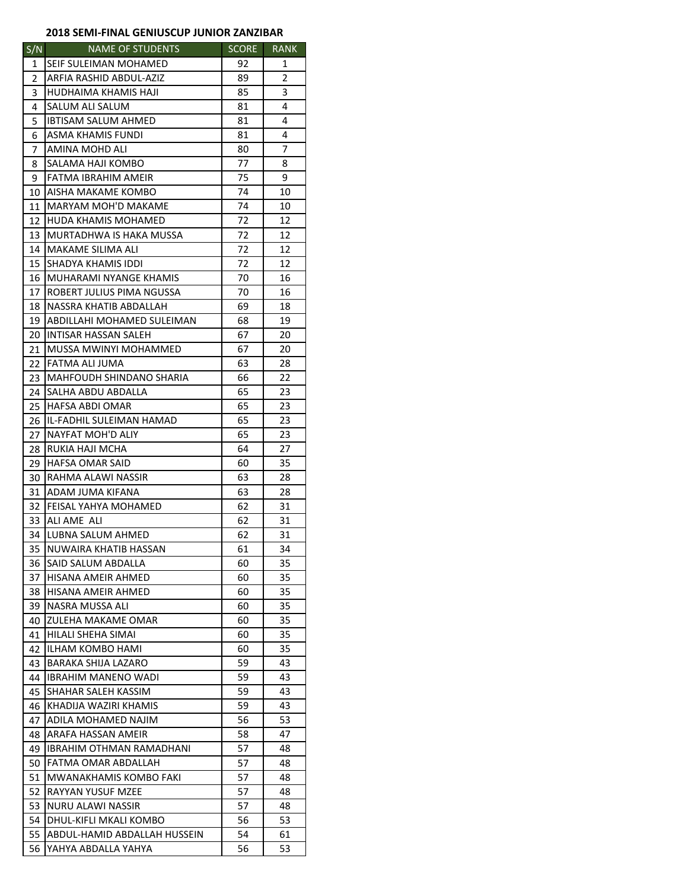## **2018 SEMI‐FINAL GENIUSCUP JUNIOR ZANZIBAR**

| S/N            | <b>NAME OF STUDENTS</b>       | <b>SCORE</b> | <b>RANK</b> |
|----------------|-------------------------------|--------------|-------------|
| 1              | SEIF SULEIMAN MOHAMED         | 92           | 1           |
| $\overline{2}$ | ARFIA RASHID ABDUL-AZIZ       | 89           | 2           |
| 3              | HUDHAIMA KHAMIS HAJI          | 85           | 3           |
| 4              | SALUM ALI SALUM               | 81           | 4           |
| 5              | IBTISAM SALUM AHMED           | 81           | 4           |
| 6              | ASMA KHAMIS FUNDI             | 81           | 4           |
| 7              | AMINA MOHD ALI                | 80           | 7           |
| 8              | SALAMA HAJI KOMBO             | 77           | 8           |
| 9              | FATMA IBRAHIM AMEIR           | 75           | 9           |
| 10             | AISHA MAKAME KOMBO            | 74           | 10          |
| 11             | <b>MARYAM MOH'D MAKAME</b>    | 74           | 10          |
| 12             | HUDA KHAMIS MOHAMED           | 72           | 12          |
| 13             | MURTADHWA IS HAKA MUSSA       | 72           | 12          |
| 14             | MAKAME SILIMA ALI             | 72           | 12          |
| 15             | SHADYA KHAMIS IDDI            | 72           | 12          |
| 16             | <b>MUHARAMI NYANGE KHAMIS</b> | 70           | 16          |
| 17             | ROBERT JULIUS PIMA NGUSSA     | 70           | 16          |
| 18             | NASSRA KHATIB ABDALLAH        | 69           | 18          |
| 19             | ABDILLAHI MOHAMED SULEIMAN    | 68           | 19          |
| 20             | <b>INTISAR HASSAN SALEH</b>   | 67           | 20          |
| 21             | MUSSA MWINYI MOHAMMED         | 67           | 20          |
| 22             | FATMA ALI JUMA                | 63           | 28          |
| 23             | MAHFOUDH SHINDANO SHARIA      | 66           | 22          |
| 24             | SALHA ABDU ABDALLA            | 65           | 23          |
| 25             | HAFSA ABDI OMAR               | 65           | 23          |
| 26             | IL-FADHIL SULEIMAN HAMAD      | 65           | 23          |
| 27             | NAYFAT MOH'D ALIY             | 65           | 23          |
| 28             | RUKIA HAJI MCHA               | 64           | 27          |
| 29             | HAFSA OMAR SAID               | 60           | 35          |
| 30             | RAHMA ALAWI NASSIR            | 63           | 28          |
| 31             | ADAM JUMA KIFANA              | 63           | 28          |
| 32             | FEISAL YAHYA MOHAMED          | 62           | 31          |
| 33             | ALI AME ALI                   | 62           | 31          |
| 34             | LUBNA SALUM AHMED             | 62           | 31          |
| 35             | NUWAIRA KHATIB HASSAN         | 61           | 34          |
| 36             | SAID SALUM ABDALLA            | 60           | 35          |
| 37             | HISANA AMEIR AHMED            | 60           | 35          |
| 38             | HISANA AMEIR AHMED            | 60           | 35          |
| 39             | NASRA MUSSA ALI               | 60           | 35          |
| 40             | ZULEHA MAKAME OMAR            | 60           | 35          |
| 41             | HILALI SHEHA SIMAI            | 60           | 35          |
| 42             | ILHAM KOMBO HAMI              | 60           | 35          |
| 43             | BARAKA SHIJA LAZARO           | 59           | 43          |
| 44             | <b>IBRAHIM MANENO WADI</b>    | 59           | 43          |
| 45             | SHAHAR SALEH KASSIM           | 59           | 43          |
| 46             | KHADIJA WAZIRI KHAMIS         | 59           | 43          |
| 47             | ADILA MOHAMED NAJIM           | 56           | 53          |
| 48             | ARAFA HASSAN AMEIR            | 58           | 47          |
| 49             | IBRAHIM OTHMAN RAMADHANI      | 57           | 48          |
| 50             | FATMA OMAR ABDALLAH           | 57           | 48          |
| 51             | MWANAKHAMIS KOMBO FAKI        | 57           | 48          |
| 52             | RAYYAN YUSUF MZEE             | 57           | 48          |
| 53             | NURU ALAWI NASSIR             | 57           | 48          |
| 54             | DHUL-KIFLI MKALI KOMBO        | 56           | 53          |
| 55             | ABDUL-HAMID ABDALLAH HUSSEIN  | 54           | 61          |
| 56             | YAHYA ABDALLA YAHYA           | 56           | 53          |